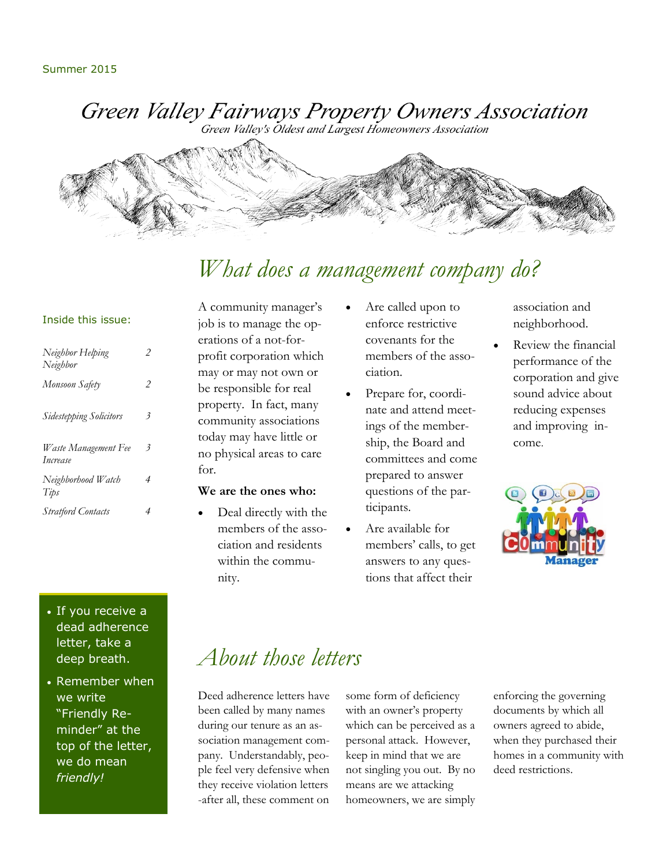Green Valley Fairways Property Owners Association

Green Valley's Oldest and Largest Homeowners Association



# *What does a management company do?*

### Inside this issue:

| Neighbor Helping<br>Neighbor            | 2 |
|-----------------------------------------|---|
| Monsoon Safety                          | 2 |
| <b>Sidestepping Solicitors</b>          | 3 |
| Waste Management Fee<br><i>Increase</i> | 3 |
| Neighborhood Watch<br>Tips              | 4 |
| <b>Stratford Contacts</b>               | 4 |

## • If you receive a dead adherence letter, take a deep breath.

• Remember when we write "Friendly Reminder" at the top of the letter, we do mean *friendly!*

A community manager's job is to manage the operations of a not-forprofit corporation which may or may not own or be responsible for real property. In fact, many community associations today may have little or no physical areas to care for.

### **We are the ones who:**

 Deal directly with the members of the association and residents within the community.

- Are called upon to enforce restrictive covenants for the members of the association.
- Prepare for, coordinate and attend meetings of the membership, the Board and committees and come prepared to answer questions of the participants.
- Are available for members' calls, to get answers to any questions that affect their

association and neighborhood.

 Review the financial performance of the corporation and give sound advice about reducing expenses and improving income.



# *About those letters*

Deed adherence letters have been called by many names during our tenure as an association management company. Understandably, people feel very defensive when they receive violation letters -after all, these comment on some form of deficiency with an owner's property which can be perceived as a personal attack. However, keep in mind that we are not singling you out. By no means are we attacking homeowners, we are simply

enforcing the governing documents by which all owners agreed to abide, when they purchased their homes in a community with deed restrictions.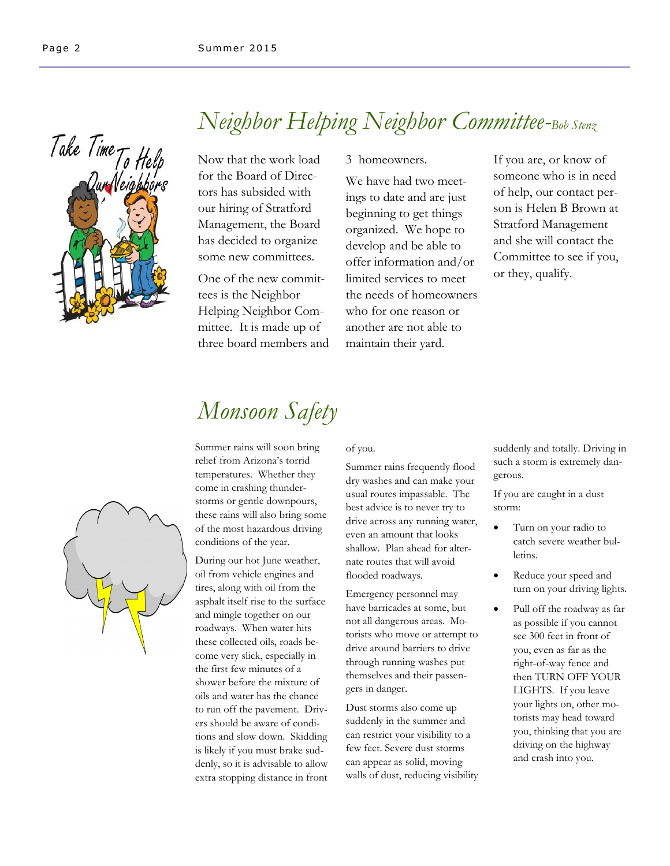

# *Neighbor Helping Neighbor Committee-Bob Stenz*

Now that the work load for the Board of Directors has subsided with our hiring of Stratford Management, the Board has decided to organize some new committees.

One of the new committees is the Neighbor Helping Neighbor Committee. It is made up of three board members and

### 3 homeowners.

We have had two meetings to date and are just beginning to get things organized. We hope to develop and be able to offer information and/or limited services to meet the needs of homeowners who for one reason or another are not able to maintain their yard.

If you are, or know of someone who is in need of help, our contact person is Helen B Brown at Stratford Management and she will contact the Committee to see if you, or they, qualify.

# *Monsoon Safety*

Summer rains will soon bring relief from Arizona's torrid temperatures. Whether they come in crashing thunderstorms or gentle downpours, these rains will also bring some of the most hazardous driving conditions of the year.

During our hot June weather, oil from vehicle engines and tires, along with oil from the asphalt itself rise to the surface and mingle together on our roadways. When water hits these collected oils, roads become very slick, especially in the first few minutes of a shower before the mixture of oils and water has the chance to run off the pavement. Drivers should be aware of conditions and slow down. Skidding is likely if you must brake suddenly, so it is advisable to allow extra stopping distance in front

### of you.

Summer rains frequently flood dry washes and can make your usual routes impassable. The best advice is to never try to drive across any running water, even an amount that looks shallow. Plan ahead for alternate routes that will avoid flooded roadways.

Emergency personnel may have barricades at some, but not all dangerous areas. Motorists who move or attempt to drive around barriers to drive through running washes put themselves and their passengers in danger.

Dust storms also come up suddenly in the summer and can restrict your visibility to a few feet. Severe dust storms can appear as solid, moving walls of dust, reducing visibility suddenly and totally. Driving in such a storm is extremely dangerous.

If you are caught in a dust storm:

- Turn on your radio to catch severe weather bulletins.
- Reduce your speed and turn on your driving lights.
- Pull off the roadway as far as possible if you cannot see 300 feet in front of you, even as far as the right-of-way fence and then TURN OFF YOUR LIGHTS. If you leave your lights on, other motorists may head toward you, thinking that you are driving on the highway and crash into you.

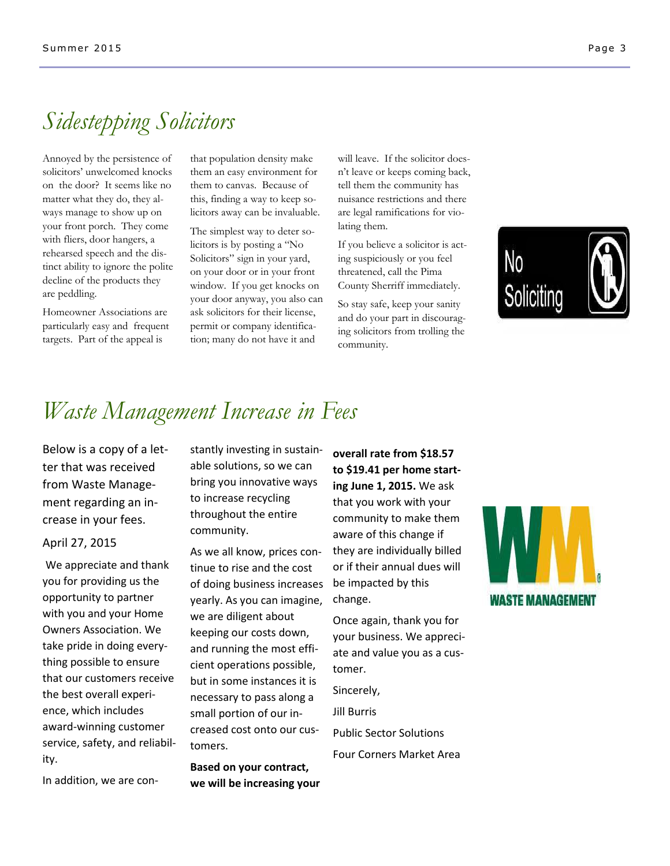# *Sidestepping Solicitors*

Annoyed by the persistence of solicitors' unwelcomed knocks on the door? It seems like no matter what they do, they always manage to show up on your front porch. They come with fliers, door hangers, a rehearsed speech and the distinct ability to ignore the polite decline of the products they are peddling.

Homeowner Associations are particularly easy and frequent targets. Part of the appeal is

that population density make them an easy environment for them to canvas. Because of this, finding a way to keep solicitors away can be invaluable.

The simplest way to deter solicitors is by posting a "No Solicitors" sign in your yard, on your door or in your front window. If you get knocks on your door anyway, you also can ask solicitors for their license, permit or company identification; many do not have it and

will leave. If the solicitor doesn't leave or keeps coming back, tell them the community has nuisance restrictions and there are legal ramifications for violating them.

If you believe a solicitor is acting suspiciously or you feel threatened, call the Pima County Sherriff immediately.

So stay safe, keep your sanity and do your part in discouraging solicitors from trolling the community.



# *Waste Management Increase in Fees*

Below is a copy of a letter that was received from Waste Management regarding an increase in your fees.

### April 27, 2015

We appreciate and thank you for providing us the opportunity to partner with you and your Home Owners Association. We take pride in doing everything possible to ensure that our customers receive the best overall experience, which includes award-winning customer service, safety, and reliability.

In addition, we are con-

stantly investing in sustainable solutions, so we can bring you innovative ways to increase recycling throughout the entire community.

As we all know, prices continue to rise and the cost of doing business increases yearly. As you can imagine, we are diligent about keeping our costs down, and running the most efficient operations possible, but in some instances it is necessary to pass along a small portion of our increased cost onto our customers.

**Based on your contract, we will be increasing your**  **overall rate from \$18.57 to \$19.41 per home starting June 1, 2015.** We ask that you work with your community to make them aware of this change if they are individually billed or if their annual dues will be impacted by this change.

Once again, thank you for your business. We appreciate and value you as a customer.

Sincerely, Jill Burris Public Sector Solutions Four Corners Market Area

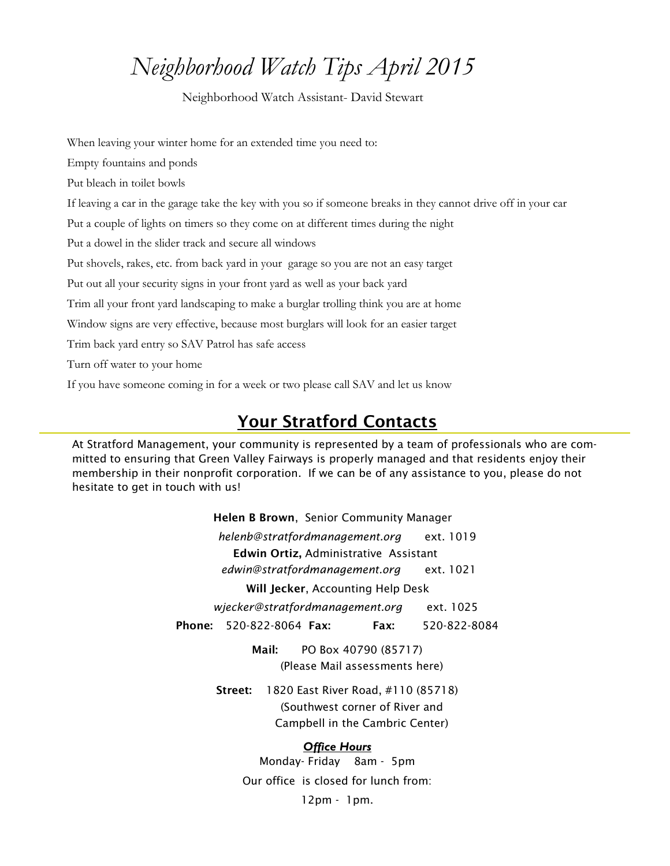# *Neighborhood Watch Tips April 2015*

Neighborhood Watch Assistant- David Stewart

When leaving your winter home for an extended time you need to: Empty fountains and ponds Put bleach in toilet bowls If leaving a car in the garage take the key with you so if someone breaks in they cannot drive off in your car Put a couple of lights on timers so they come on at different times during the night Put a dowel in the slider track and secure all windows Put shovels, rakes, etc. from back yard in your garage so you are not an easy target Put out all your security signs in your front yard as well as your back yard Trim all your front yard landscaping to make a burglar trolling think you are at home Window signs are very effective, because most burglars will look for an easier target Trim back yard entry so SAV Patrol has safe access Turn off water to your home If you have someone coming in for a week or two please call SAV and let us know

## **Your Stratford Contacts**

At Stratford Management, your community is represented by a team of professionals who are committed to ensuring that Green Valley Fairways is properly managed and that residents enjoy their membership in their nonprofit corporation. If we can be of any assistance to you, please do not hesitate to get in touch with us!

> **Helen B Brown**, Senior Community Manager *helenb@stratfordmanagement.org* ext. 1019  **Edwin Ortiz,** Administrative Assistant *edwin@stratfordmanagement.org* ext. 1021 **Will Jecker**, Accounting Help Desk  *wjecker@stratfordmanagement.org* ext. 1025 **Phone:** 520-822-8064 **Fax: Fax:** 520-822-8084 **Mail:** PO Box 40790 (85717) (Please Mail assessments here) **Street:** 1820 East River Road, #110 (85718) (Southwest corner of River and Campbell in the Cambric Center) *Office Hours*

Monday- Friday 8am - 5pm Our office is closed for lunch from: 12pm - 1pm.